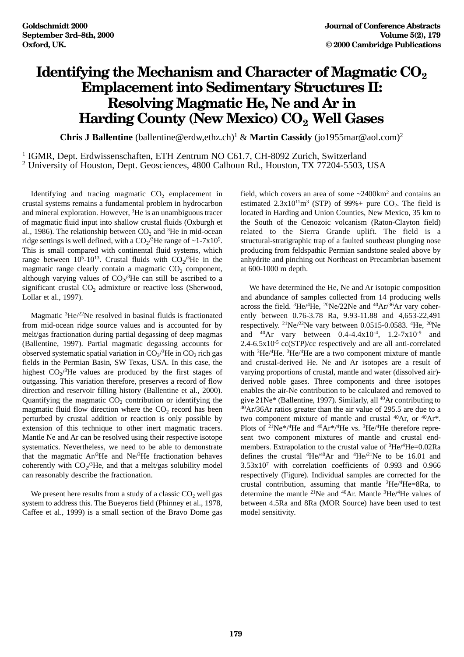## **Identifying the Mechanism and Character of Magmatic CO<sub>2</sub> Emplacement into Sedimentary Structures II: Resolving Magmatic He, Ne and Ar in Harding County (New Mexico) CO2 Well Gases**

**Chris J Ballentine** (ballentine@erdw,ethz.ch)1 & **Martin Cassidy** (jo1955mar@aol.com)2

<sup>1</sup> IGMR, Dept. Erdwissenschaften, ETH Zentrum NO C61.7, CH-8092 Zurich, Switzerland <sup>2</sup> University of Houston, Dept. Geosciences, 4800 Calhoun Rd., Houston, TX 77204-5503, USA

Identifying and tracing magmatic  $CO<sub>2</sub>$  emplacement in crustal systems remains a fundamental problem in hydrocarbon and mineral exploration. However, 3He is an unambiguous tracer of magmatic fluid input into shallow crustal fluids (Oxburgh et al., 1986). The relationship between  $CO<sub>2</sub>$  and <sup>3</sup>He in mid-ocean ridge settings is well defined, with a  $CO_2$ <sup>3</sup>He range of ~1-7x10<sup>9</sup>. This is small compared with continental fluid systems, which range between  $10^5$ -10<sup>13</sup>. Crustal fluids with  $CO_2$ <sup>3</sup>He in the magmatic range clearly contain a magmatic  $CO<sub>2</sub>$  component, although varying values of  $CO_2$ <sup>3</sup>He can still be ascribed to a significant crustal  $CO<sub>2</sub>$  admixture or reactive loss (Sherwood, Lollar et al., 1997).

Magmatic 3He/22Ne resolved in basinal fluids is fractionated from mid-ocean ridge source values and is accounted for by melt/gas fractionation during partial degassing of deep magmas (Ballentine, 1997). Partial magmatic degassing accounts for observed systematic spatial variation in  $CO_2$ <sup>3</sup>He in  $CO_2$  rich gas fields in the Permian Basin, SW Texas, USA. In this case, the highest  $CO_2$ <sup>3</sup>He values are produced by the first stages of outgassing. This variation therefore, preserves a record of flow direction and reservoir filling history (Ballentine et al., 2000). Quantifying the magmatic  $CO<sub>2</sub>$  contribution or identifying the magmatic fluid flow direction where the  $CO<sub>2</sub>$  record has been perturbed by crustal addition or reaction is only possible by extension of this technique to other inert magmatic tracers. Mantle Ne and Ar can be resolved using their respective isotope systematics. Nevertheless, we need to be able to demonstrate that the magmatic Ar/3 He and Ne/3 He fractionation behaves coherently with  $CO_2/{}^{3}He$ , and that a melt/gas solubility model can reasonably describe the fractionation.

We present here results from a study of a classic  $CO<sub>2</sub>$  well gas system to address this. The Bueyeros field (Phinney et al., 1978, Caffee et al., 1999) is a small section of the Bravo Dome gas

field, which covers an area of some ~2400km2 and contains an estimated  $2.3x10^{11}m^3$  (STP) of 99%+ pure CO<sub>2</sub>. The field is located in Harding and Union Counties, New Mexico, 35 km to the South of the Cenozoic volcanism (Raton-Clayton field) related to the Sierra Grande uplift. The field is a structural-stratigraphic trap of a faulted southeast plunging nose producing from feldspathic Permian sandstone sealed above by anhydrite and pinching out Northeast on Precambrian basement at 600-1000 m depth.

We have determined the He, Ne and Ar isotopic composition and abundance of samples collected from 14 producing wells across the field. <sup>3</sup>He/<sup>4</sup>He, <sup>20</sup>Ne/22Ne and <sup>40</sup>Ar/<sup>36</sup>Ar vary coherently between 0.76-3.78 Ra, 9.93-11.88 and 4,653-22,491 respectively. <sup>21</sup>Ne/<sup>22</sup>Ne vary between 0.0515-0.0583. <sup>4</sup>He, <sup>20</sup>Ne and  $^{40}Ar$  vary between 0.4-4.4x10<sup>-4</sup>, 1.2-7x10<sup>-9</sup> and  $2.4$ -6.5x10<sup>-5</sup> cc(STP)/cc respectively and are all anti-correlated with 3He/4He. 3He/4He are a two component mixture of mantle and crustal-derived He. Ne and Ar isotopes are a result of varying proportions of crustal, mantle and water (dissolved air) derived noble gases. Three components and three isotopes enables the air-Ne contribution to be calculated and removed to give 21Ne\* (Ballentine, 1997). Similarly, all 40Ar contributing to 40Ar/36Ar ratios greater than the air value of 295.5 are due to a two component mixture of mantle and crustal  $^{40}Ar$ , or  $^{40}Ar^*$ . Plots of  $^{21}Ne* / ^4He$  and  $^{40}Ar* / ^4He$  vs.  $^{3}He/ ^4He$  therefore represent two component mixtures of mantle and crustal endmembers. Extrapolation to the crustal value of <sup>3</sup>He/<sup>4</sup>He=0.02Ra defines the crustal  ${}^{4}$ He/ ${}^{40}$ Ar and  ${}^{4}$ He/ ${}^{21}$ Ne to be 16.01 and 3.53x107 with correlation coefficients of 0.993 and 0.966 respectively (Figure). Individual samples are corrected for the crustal contribution, assuming that mantle  ${}^{3}He/{}^{4}He=8Ra$ , to determine the mantle <sup>21</sup>Ne and <sup>40</sup>Ar. Mantle <sup>3</sup>He/<sup>4</sup>He values of between 4.5Ra and 8Ra (MOR Source) have been used to test model sensitivity.